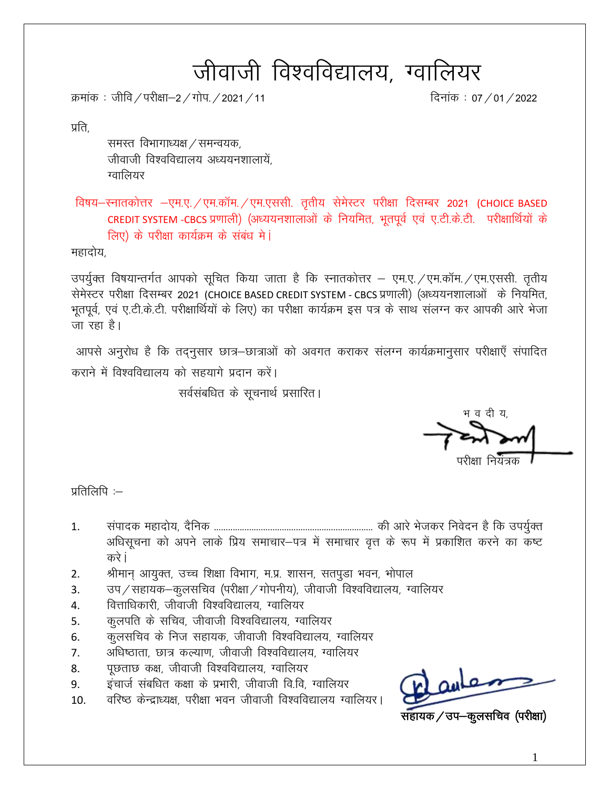# जीवाजी विश्वविद्यालय, ग्वालियर

क्रमांक: जीवि / परीक्षा–2 / गोप. / 2021 / 11

दिनांक: 07 / 01 / 2022

प्रति.

समस्त विभागाध्यक्ष / समन्वयक, जीवाजी विश्वविद्यालय अध्ययनशालायें. ग्वालियर

विषय-स्नातकोत्तर -एम.ए. / एम.कॉम. / एम.एससी. तृतीय सेमेस्टर परीक्षा दिसम्बर 2021 (CHOICE BASED CREDIT SYSTEM -CBCS प्रणाली) (अध्ययनशालाओं के नियमित, भूतपूर्व एवं ए.टी.के.टी. परीक्षार्थियों के लिए) के परीक्षा कार्यक्रम के संबंध में।

महादोय,

उपर्युक्त विषयान्तर्गत आपको सूचित किया जाता है कि स्नातकोत्तर – एम.ए. / एम.कॉम. / एम.एससी. तृतीय सेमेस्टर परीक्षा दिसम्बर 2021 (CHOICE BASED CREDIT SYSTEM - CBCS प्रणाली) (अध्ययनशालाओं) के नियमित, भूतपूर्व, एवं ए.टी.के.टी. परीक्षार्थियों के लिए) का परीक्षा कार्यक्रम इस पत्र के साथ संलग्न कर आपकी आरे भेजा जा रहा है।

आपसे अनुरोध है कि तद्नुसार छात्र–छात्राओं को अवगत कराकर संलग्न कार्यक्रमानुसार परीक्षाएँ संपादित कराने में विश्वविद्यालय को सहयागे प्रदान करें।

सर्वसंबधित के सूचनार्थ प्रसारित।

भ व दी य

प्रतिलिपि $:=$ 

- $1<sub>1</sub>$ अधिसूचना को अपने लाके प्रिय समाचार-पत्र में समाचार वृत्त के रूप में प्रकाशित करने का कष्ट करे i
- श्रीमान् आयुक्त, उच्च शिक्षा विभाग, म.प्र. शासन, सतपुडा भवन, भोपाल  $2.$
- उप / सहायक–कुलसचिव (परीक्षा / गोपनीय), जीवाजी विश्वविद्यालय, ग्वालियर  $\overline{3}$ .
- वित्ताधिकारी, जीवाजी विश्वविद्यालय, ग्वालियर  $\overline{4}$ .
- कुलपति के सचिव, जीवाजी विश्वविद्यालय, ग्वालियर 5.
- कुलसचिव के निज सहायक, जीवाजी विश्वविद्यालय, ग्वालियर 6.
- अधिष्ठाता, छात्र कल्याण, जीवाजी विश्वविद्यालय, ग्वालियर 7.
- पूछताछ कक्ष, जीवाजी विश्वविद्यालय, ग्वालियर 8.
- इंचार्ज संबधित कक्षा के प्रभारी, जीवाजी वि.वि. ग्वालियर 9.
- वरिष्ठ केन्द्राध्यक्ष, परीक्षा भवन जीवाजी विश्वविद्यालय ग्वालियर। 10.

नहायक ⁄ उप–कूलसचिव (परीक्षा)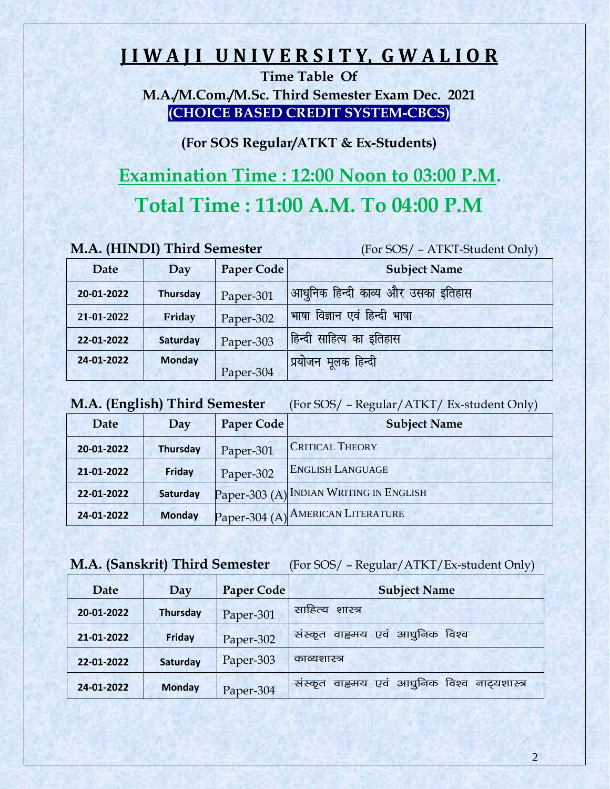# **J I W A J I U N I V E R S I T Y, G W A L I O R**

**Time Table Of** 

**M.A./M.Com./M.Sc. Third Semester Exam Dec. 2021 (CHOICE BASED CREDIT SYSTEM-CBCS)**

**(For SOS Regular/ATKT & Ex-Students)**

# **Examination Time : 12:00 Noon to 03:00 P.M.**

# **Total Time : 11:00 A.M. To 04:00 P.M**

(For SOS/ - ATKT-Student Only)

| Date       | Day           | <b>Paper Code</b> | <b>Subject Name</b>                |
|------------|---------------|-------------------|------------------------------------|
| 20-01-2022 | Thursday      | Paper-301         | आधुनिक हिन्दी काव्य और उसका इतिहास |
| 21-01-2022 | <b>Friday</b> | Paper-302         | भाषा विज्ञान एवं हिन्दी भाषा       |
| 22-01-2022 | Saturday      | Paper-303         | हिन्दी साहित्य का इतिहास           |
| 24-01-2022 | <b>Monday</b> | Paper-304         | <mark>'प्रयोजन मूलक हिन्दी</mark>  |

**M.A. (English) Third Semester** (For SOS/ – Regular/ATKT/ Ex-student Only)

| Date       | Day           | Paper Code | <b>Subject Name</b>                     |
|------------|---------------|------------|-----------------------------------------|
| 20-01-2022 | Thursday      | Paper-301  | <b>CRITICAL THEORY</b>                  |
| 21-01-2022 | Friday        | Paper-302  | <b>ENGLISH LANGUAGE</b>                 |
| 22-01-2022 | Saturday      |            | Paper-303 (A) INDIAN WRITING IN ENGLISH |
| 24-01-2022 | <b>Monday</b> |            | Paper-304 (A) AMERICAN LITERATURE       |

#### **M.A. (Sanskrit) Third Semester** (For SOS/ – Regular/ATKT/Ex-student Only)

| Date       | Day             | <b>Paper Code</b> | <b>Subject Name</b>                             |
|------------|-----------------|-------------------|-------------------------------------------------|
| 20-01-2022 | <b>Thursday</b> | Paper-301         | साहित्य<br>शास्त्र                              |
| 21-01-2022 | <b>Friday</b>   | Paper-302         | वाहृमय एवं आधुनिक विश्व<br>सस्कृत               |
| 22-01-2022 | Saturday        | Paper-303         | काव्यशास्त्र                                    |
| 24-01-2022 | <b>Monday</b>   | Paper-304         | वाह्रमय एवं आधुनिक विश्व नाट्यशास्त्र<br>सस्कृत |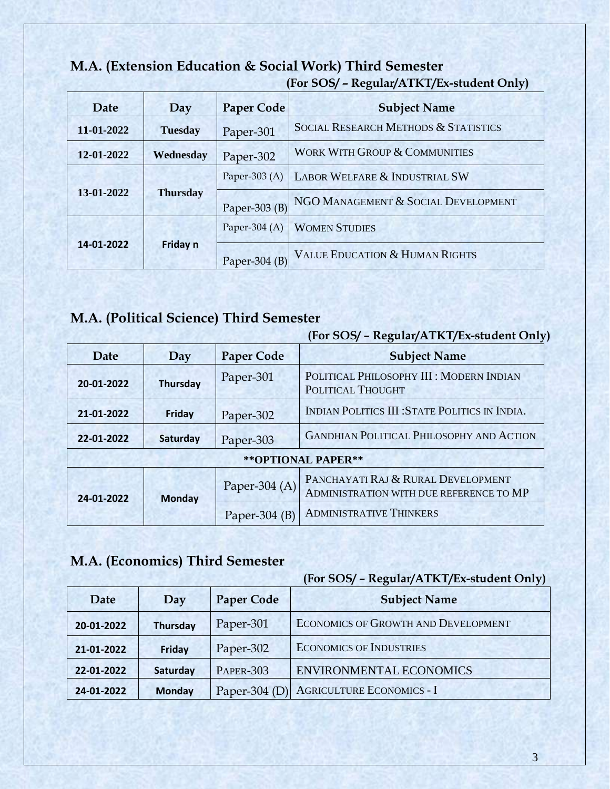#### **M.A. (Extension Education & Social Work) Third Semester (For SOS/ – Regular/ATKT/Ex-student Only)**

| Date<br>Day |                 | <b>Paper Code</b> | <b>Subject Name</b>                             |  |
|-------------|-----------------|-------------------|-------------------------------------------------|--|
| 11-01-2022  | <b>Tuesday</b>  | Paper-301         | <b>SOCIAL RESEARCH METHODS &amp; STATISTICS</b> |  |
| 12-01-2022  | Wednesday       | Paper-302         | <b>WORK WITH GROUP &amp; COMMUNITIES</b>        |  |
|             | <b>Thursday</b> | Paper-303 $(A)$   | <b>LABOR WELFARE &amp; INDUSTRIAL SW</b>        |  |
| 13-01-2022  |                 | Paper-303 $(B)$   | NGO MANAGEMENT & SOCIAL DEVELOPMENT             |  |
| 14-01-2022  | Friday n        | Paper-304 $(A)$   | <b>WOMEN STUDIES</b>                            |  |
|             |                 | Paper-304 $(B)$   | <b>VALUE EDUCATION &amp; HUMAN RIGHTS</b>       |  |

# **M.A. (Political Science) Third Semester**

| $(101 \text{ OO})$ – Regular/ATRT/Ex-student Only |                     |                 |                                                                               |  |  |
|---------------------------------------------------|---------------------|-----------------|-------------------------------------------------------------------------------|--|--|
| <b>Paper Code</b><br>Date<br>Day                  |                     |                 | <b>Subject Name</b>                                                           |  |  |
| <b>Thursday</b><br>20-01-2022                     |                     | Paper-301       | POLITICAL PHILOSOPHY III : MODERN INDIAN<br><b>POLITICAL THOUGHT</b>          |  |  |
| 21-01-2022                                        | Friday<br>Paper-302 |                 | INDIAN POLITICS III : STATE POLITICS IN INDIA.                                |  |  |
| 22-01-2022                                        | Saturday            | Paper-303       | <b>GANDHIAN POLITICAL PHILOSOPHY AND ACTION</b>                               |  |  |
|                                                   |                     |                 | ** OPTIONAL PAPER**                                                           |  |  |
| 24-01-2022                                        | <b>Monday</b>       | Paper-304 (A)   | PANCHAYATI RAJ & RURAL DEVELOPMENT<br>ADMINISTRATION WITH DUE REFERENCE TO MP |  |  |
|                                                   |                     | Paper-304 $(B)$ | <b>ADMINISTRATIVE THINKERS</b>                                                |  |  |

#### **(For SOS/ – Regular/ATKT/Ex-student Only)**

# **M.A. (Economics) Third Semester**

| Date       | Day             | <b>Paper Code</b> | <b>Subject Name</b>                        |  |
|------------|-----------------|-------------------|--------------------------------------------|--|
| 20-01-2022 | <b>Thursday</b> | Paper-301         | <b>ECONOMICS OF GROWTH AND DEVELOPMENT</b> |  |
| 21-01-2022 | Friday          | Paper-302         | <b>ECONOMICS OF INDUSTRIES</b>             |  |
| 22-01-2022 | Saturday        | <b>PAPER-303</b>  | <b>ENVIRONMENTAL ECONOMICS</b>             |  |
| 24-01-2022 | <b>Monday</b>   | Paper-304 $(D)$   | <b>AGRICULTURE ECONOMICS - I</b>           |  |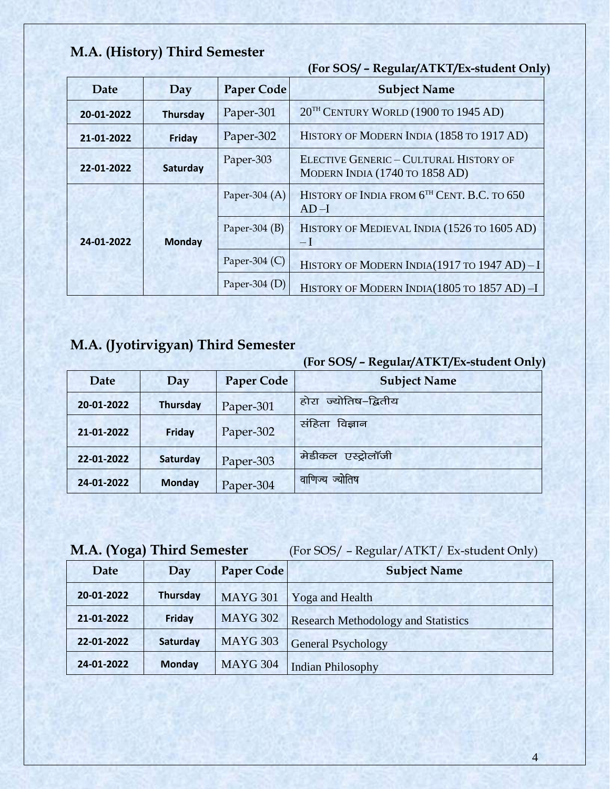# **M.A. (History) Third Semester**

|                        | (For SOS/ - Regular/ATKT/Ex-student Only) |                                          |                                                                                 |  |  |
|------------------------|-------------------------------------------|------------------------------------------|---------------------------------------------------------------------------------|--|--|
| Date                   | Day                                       | <b>Paper Code</b><br><b>Subject Name</b> |                                                                                 |  |  |
| 20-01-2022             | <b>Thursday</b>                           | Paper-301                                | 20 <sup>TH</sup> CENTURY WORLD (1900 TO 1945 AD)                                |  |  |
| 21-01-2022             | Paper-302<br><b>Friday</b>                |                                          | HISTORY OF MODERN INDIA (1858 TO 1917 AD)                                       |  |  |
| Saturday<br>22-01-2022 |                                           | Paper-303                                | <b>ELECTIVE GENERIC - CULTURAL HISTORY OF</b><br>MODERN INDIA (1740 TO 1858 AD) |  |  |
|                        | <b>Monday</b>                             | Paper-304 $(A)$                          | HISTORY OF INDIA FROM 6 <sup>TH</sup> CENT. B.C. TO 650<br>$AD-I$               |  |  |
| 24-01-2022             |                                           | Paper-304 $(B)$                          | HISTORY OF MEDIEVAL INDIA (1526 TO 1605 AD)<br>$-I$                             |  |  |
|                        |                                           | Paper-304 $(C)$                          | HISTORY OF MODERN INDIA(1917 TO 1947 AD) - I                                    |  |  |
|                        |                                           | Paper-304 $(D)$                          | HISTORY OF MODERN INDIA(1805 TO 1857 AD)-I                                      |  |  |

# **M.A. (Jyotirvigyan) Third Semester**

#### **(For SOS/ – Regular/ATKT/Ex-student Only)**

| Date       | Day             | <b>Paper Code</b> | <b>Subject Name</b>     |
|------------|-----------------|-------------------|-------------------------|
| 20-01-2022 | <b>Thursday</b> | Paper-301         | ज्योतिष–द्वितीय<br>होरा |
| 21-01-2022 | Friday          | Paper-302         | संहिता<br>विज्ञान       |
| 22-01-2022 | Saturday        | Paper-303         | मेडीकल<br>एस्ट्रोलॉजी   |
| 24-01-2022 | <b>Monday</b>   | Paper-304         | ज्योतिष<br>वाणिज्य      |

**M.A. (Yoga) Third Semester** (For SOS/ – Regular/ATKT/ Ex-student Only)

| Date       | Day             | Paper Code      | <b>Subject Name</b>                        |
|------------|-----------------|-----------------|--------------------------------------------|
| 20-01-2022 | <b>Thursday</b> | <b>MAYG 301</b> | Yoga and Health                            |
| 21-01-2022 | Friday          | <b>MAYG 302</b> | <b>Research Methodology and Statistics</b> |
| 22-01-2022 | Saturday        | <b>MAYG 303</b> | <b>General Psychology</b>                  |
| 24-01-2022 | <b>Monday</b>   | <b>MAYG 304</b> | <b>Indian Philosophy</b>                   |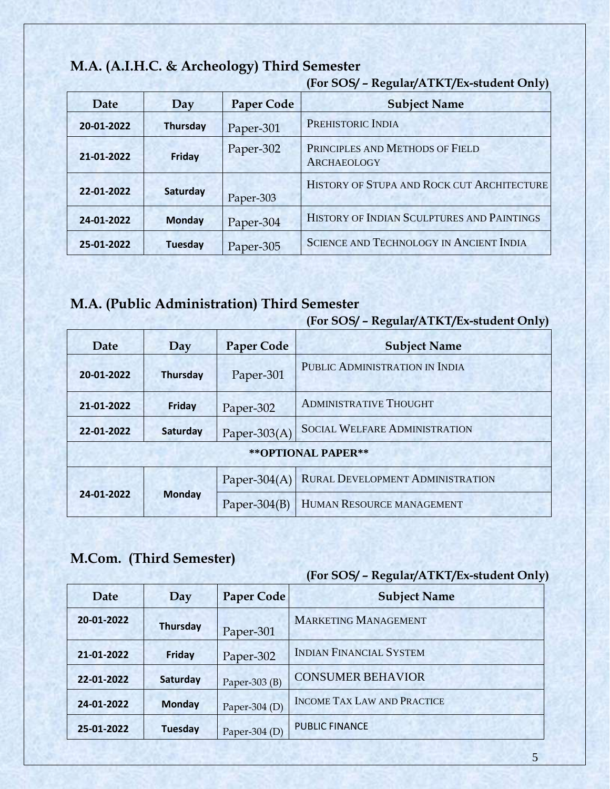# **M.A. (A.I.H.C. & Archeology) Third Semester**

| <b>Date</b> | Day             | <b>Paper Code</b> | <b>Subject Name</b>                                   |
|-------------|-----------------|-------------------|-------------------------------------------------------|
| 20-01-2022  | <b>Thursday</b> | Paper-301         | PREHISTORIC INDIA                                     |
| 21-01-2022  | Friday          | Paper-302         | PRINCIPLES AND METHODS OF FIELD<br><b>ARCHAEOLOGY</b> |
| 22-01-2022  | Saturday        | Paper-303         | HISTORY OF STUPA AND ROCK CUT ARCHITECTURE            |
| 24-01-2022  | <b>Monday</b>   | Paper-304         | HISTORY OF INDIAN SCULPTURES AND PAINTINGS            |
| 25-01-2022  | <b>Tuesday</b>  | Paper-305         | <b>SCIENCE AND TECHNOLOGY IN ANCIENT INDIA</b>        |

#### **(For SOS/ – Regular/ATKT/Ex-student Only)**

# **M.A. (Public Administration) Third Semester**

| (For SOS/ - Regular/ATKT/Ex-student Only) |  |
|-------------------------------------------|--|
|                                           |  |

| Date                | Day             | <b>Paper Code</b> | <b>Subject Name</b>                  |  |
|---------------------|-----------------|-------------------|--------------------------------------|--|
| 20-01-2022          | <b>Thursday</b> | Paper-301         | PUBLIC ADMINISTRATION IN INDIA       |  |
| 21-01-2022          | Friday          | Paper-302         | <b>ADMINISTRATIVE THOUGHT</b>        |  |
| 22-01-2022          | Saturday        | Paper-303 $(A)$   | <b>SOCIAL WELFARE ADMINISTRATION</b> |  |
| ** OPTIONAL PAPER** |                 |                   |                                      |  |
| 24-01-2022          | <b>Monday</b>   | Paper-304 $(A)$   | RURAL DEVELOPMENT ADMINISTRATION     |  |
|                     |                 | Paper- $304(B)$   | HUMAN RESOURCE MANAGEMENT            |  |

# **M.Com. (Third Semester)**

| Date       | Day             | <b>Paper Code</b> | <b>Subject Name</b>                |
|------------|-----------------|-------------------|------------------------------------|
| 20-01-2022 | <b>Thursday</b> | Paper-301         | <b>MARKETING MANAGEMENT</b>        |
| 21-01-2022 | Friday          | Paper-302         | <b>INDIAN FINANCIAL SYSTEM</b>     |
| 22-01-2022 | Saturday        | Paper-303 $(B)$   | <b>CONSUMER BEHAVIOR</b>           |
| 24-01-2022 | <b>Monday</b>   | Paper-304 $(D)$   | <b>INCOME TAX LAW AND PRACTICE</b> |
| 25-01-2022 | <b>Tuesday</b>  | Paper-304 $(D)$   | <b>PUBLIC FINANCE</b>              |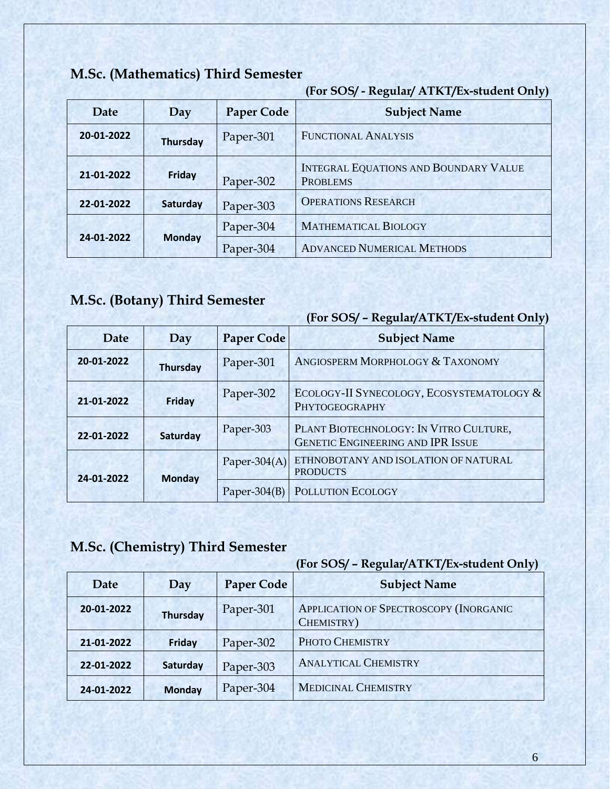# **M.Sc. (Mathematics) Third Semester**

#### **(For SOS/ - Regular/ ATKT/Ex-student Only)**

| Date       | Day             | <b>Paper Code</b> | <b>Subject Name</b>                                             |
|------------|-----------------|-------------------|-----------------------------------------------------------------|
| 20-01-2022 | <b>Thursday</b> | Paper-301         | <b>FUNCTIONAL ANALYSIS</b>                                      |
| 21-01-2022 | Friday          | Paper-302         | <b>INTEGRAL EQUATIONS AND BOUNDARY VALUE</b><br><b>PROBLEMS</b> |
| 22-01-2022 | Saturday        | Paper-303         | <b>OPERATIONS RESEARCH</b>                                      |
| 24-01-2022 | <b>Monday</b>   | Paper-304         | <b>MATHEMATICAL BIOLOGY</b>                                     |
|            |                 | Paper-304         | <b>ADVANCED NUMERICAL METHODS</b>                               |

# **M.Sc. (Botany) Third Semester**

#### **(For SOS/ – Regular/ATKT/Ex-student Only)**

| Date       | Day             | <b>Paper Code</b> | <b>Subject Name</b>                                                                |
|------------|-----------------|-------------------|------------------------------------------------------------------------------------|
| 20-01-2022 | <b>Thursday</b> | Paper-301         | ANGIOSPERM MORPHOLOGY & TAXONOMY                                                   |
| 21-01-2022 | Friday          | Paper-302         | ECOLOGY-II SYNECOLOGY, ECOSYSTEMATOLOGY &<br>PHYTOGEOGRAPHY                        |
| 22-01-2022 | Saturday        | Paper-303         | PLANT BIOTECHNOLOGY: IN VITRO CULTURE,<br><b>GENETIC ENGINEERING AND IPR ISSUE</b> |
| 24-01-2022 | <b>Monday</b>   | Paper-304 $(A)$   | ETHNOBOTANY AND ISOLATION OF NATURAL<br><b>PRODUCTS</b>                            |
|            |                 | Paper- $304(B)$   | POLLUTION ECOLOGY                                                                  |

# **M.Sc. (Chemistry) Third Semester**

| Date       | Day             | <b>Paper Code</b> | <b>Subject Name</b>                                  |
|------------|-----------------|-------------------|------------------------------------------------------|
| 20-01-2022 | <b>Thursday</b> | Paper-301         | APPLICATION OF SPECTROSCOPY (INORGANIC<br>CHEMISTRY) |
| 21-01-2022 | Friday          | Paper-302         | PHOTO CHEMISTRY                                      |
| 22-01-2022 | Saturday        | Paper-303         | <b>ANALYTICAL CHEMISTRY</b>                          |
| 24-01-2022 | <b>Monday</b>   | Paper-304         | <b>MEDICINAL CHEMISTRY</b>                           |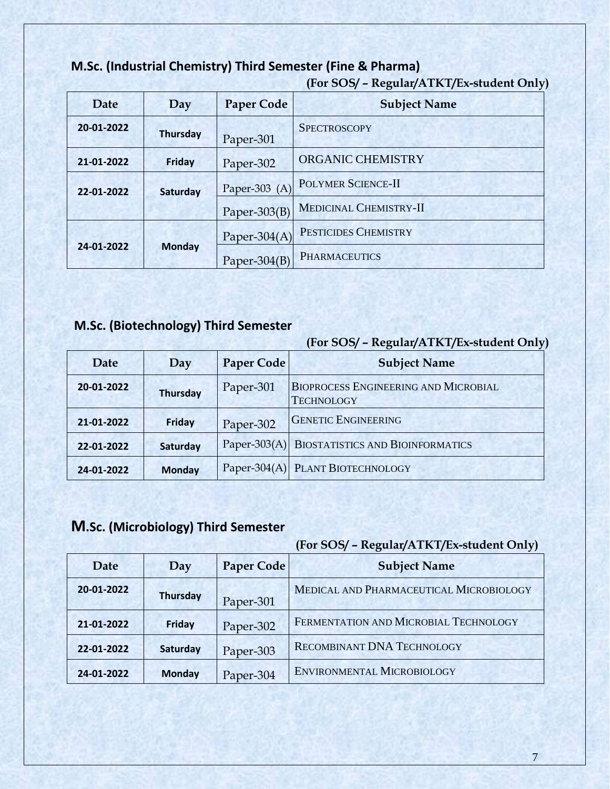#### **M.Sc. (Industrial Chemistry) Third Semester (Fine & Pharma)**

**(For SOS/ – Regular/ATKT/Ex-student Only)** 

| Date                        | Day             | <b>Paper Code</b>    | <b>Subject Name</b>    |
|-----------------------------|-----------------|----------------------|------------------------|
| 20-01-2022                  | <b>Thursday</b> | Paper-301            | <b>SPECTROSCOPY</b>    |
| 21-01-2022                  | Friday          | Paper-302            | ORGANIC CHEMISTRY      |
| 22-01-2022                  | Saturday        | Paper-303 $(A)$      | POLYMER SCIENCE-II     |
|                             |                 | Paper-303 $(B)$      | MEDICINAL CHEMISTRY-II |
| <b>Monday</b><br>24-01-2022 |                 | Paper-304 $(A)$      | PESTICIDES CHEMISTRY   |
|                             | Paper-304 $(B)$ | <b>PHARMACEUTICS</b> |                        |

#### **M.Sc. (Biotechnology) Third Semester**

**(For SOS/ – Regular/ATKT/Ex-student Only)** 

| Date       | Day             | <b>Paper Code</b> | <b>Subject Name</b>                                              |
|------------|-----------------|-------------------|------------------------------------------------------------------|
| 20-01-2022 | <b>Thursday</b> | Paper-301         | <b>BIOPROCESS ENGINEERING AND MICROBIAL</b><br><b>TECHNOLOGY</b> |
| 21-01-2022 | Friday          | Paper-302         | <b>GENETIC ENGINEERING</b>                                       |
| 22-01-2022 | Saturday        |                   | Paper-303(A) BIOSTATISTICS AND BIOINFORMATICS                    |
| 24-01-2022 | <b>Monday</b>   |                   | Paper-304(A) PLANT BIOTECHNOLOGY                                 |

#### **M.Sc. (Microbiology) Third Semester**

#### **(For SOS/ – Regular/ATKT/Ex-student Only)**

| Date       | Day             | <b>Paper Code</b> | י ג<br><b>Subject Name</b>              |
|------------|-----------------|-------------------|-----------------------------------------|
| 20-01-2022 | <b>Thursday</b> | Paper-301         | MEDICAL AND PHARMACEUTICAL MICROBIOLOGY |
| 21-01-2022 | <b>Friday</b>   | Paper-302         | FERMENTATION AND MICROBIAL TECHNOLOGY   |
| 22-01-2022 | Saturday        | Paper-303         | <b>RECOMBINANT DNA TECHNOLOGY</b>       |
| 24-01-2022 | <b>Monday</b>   | Paper-304         | ENVIRONMENTAL MICROBIOLOGY              |

7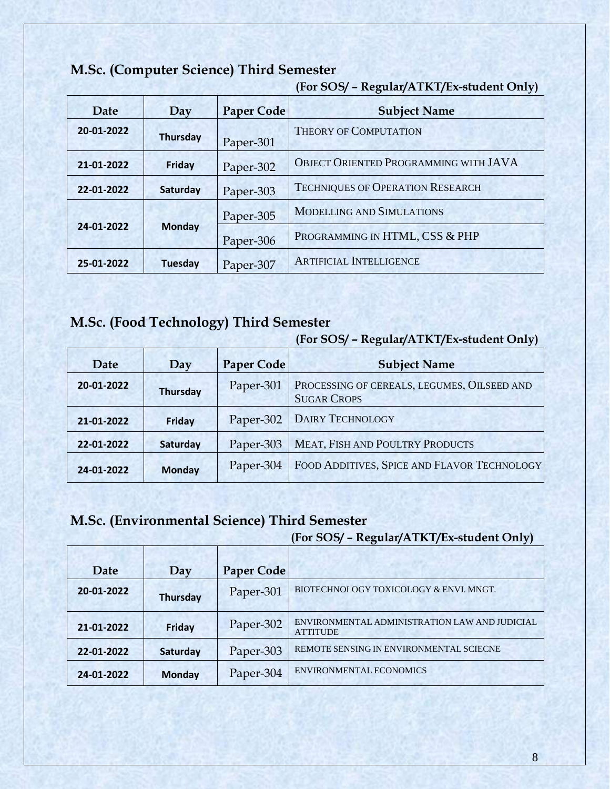|            |                 |                   | JI.                                     |
|------------|-----------------|-------------------|-----------------------------------------|
| Date       | Day             | <b>Paper Code</b> | <b>Subject Name</b>                     |
| 20-01-2022 | <b>Thursday</b> | Paper-301         | <b>THEORY OF COMPUTATION</b>            |
| 21-01-2022 | <b>Friday</b>   | Paper-302         | OBJECT ORIENTED PROGRAMMING WITH JAVA   |
| 22-01-2022 | Saturday        | Paper-303         | <b>TECHNIQUES OF OPERATION RESEARCH</b> |
| 24-01-2022 | <b>Monday</b>   | Paper-305         | <b>MODELLING AND SIMULATIONS</b>        |
|            |                 | Paper-306         | PROGRAMMING IN HTML, CSS & PHP          |
| 25-01-2022 | <b>Tuesday</b>  | Paper-307         | <b>ARTIFICIAL INTELLIGENCE</b>          |

#### **M.Sc. (Computer Science) Third Semester**

**(For SOS/ – Regular/ATKT/Ex-student Only)** 

#### **M.Sc. (Food Technology) Third Semester**

| Date       | Day             | <b>Paper Code</b> | <b>Subject Name</b>                                               |
|------------|-----------------|-------------------|-------------------------------------------------------------------|
| 20-01-2022 | <b>Thursday</b> | Paper-301         | PROCESSING OF CEREALS, LEGUMES, OILSEED AND<br><b>SUGAR CROPS</b> |
| 21-01-2022 | Friday          | Paper-302         | DAIRY TECHNOLOGY                                                  |
| 22-01-2022 | Saturday        | Paper-303         | <b>MEAT, FISH AND POULTRY PRODUCTS</b>                            |
| 24-01-2022 | <b>Monday</b>   | Paper-304         | FOOD ADDITIVES, SPICE AND FLAVOR TECHNOLOGY                       |

**(For SOS/ – Regular/ATKT/Ex-student Only)** 

#### **M.Sc. (Environmental Science) Third Semester**

| Date       | Day             | <b>Paper Code</b> |                                                                  |
|------------|-----------------|-------------------|------------------------------------------------------------------|
| 20-01-2022 | <b>Thursday</b> | Paper-301         | BIOTECHNOLOGY TOXICOLOGY & ENVI. MNGT.                           |
| 21-01-2022 | <b>Friday</b>   | Paper-302         | ENVIRONMENTAL ADMINISTRATION LAW AND JUDICIAL<br><b>ATTITUDE</b> |
| 22-01-2022 | Saturday        | Paper-303         | REMOTE SENSING IN ENVIRONMENTAL SCIECNE                          |
| 24-01-2022 | <b>Monday</b>   | Paper-304         | <b>ENVIRONMENTAL ECONOMICS</b>                                   |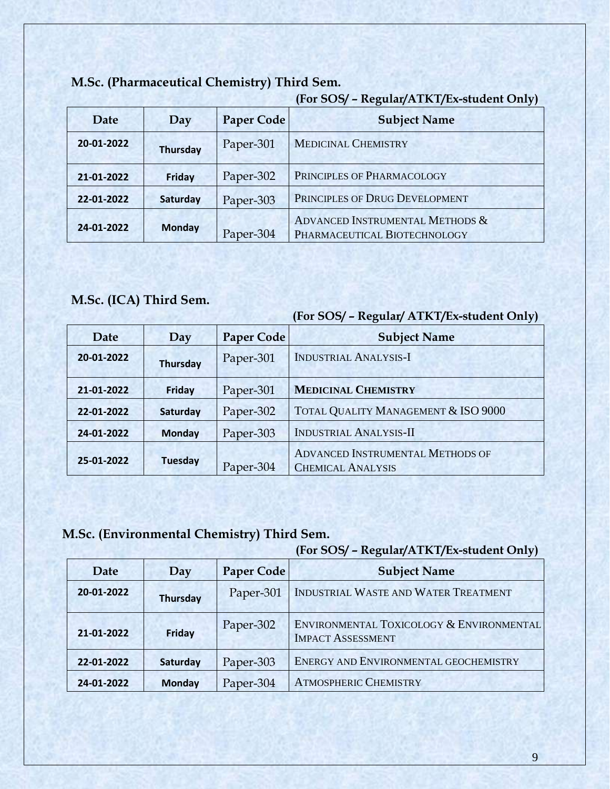|            |                 |                   | <u>,</u>                                                        |
|------------|-----------------|-------------------|-----------------------------------------------------------------|
| Date       | Day             | <b>Paper Code</b> | <b>Subject Name</b>                                             |
| 20-01-2022 | <b>Thursday</b> | Paper-301         | <b>MEDICINAL CHEMISTRY</b>                                      |
| 21-01-2022 | Friday          | Paper-302         | PRINCIPLES OF PHARMACOLOGY                                      |
| 22-01-2022 | Saturday        | Paper-303         | PRINCIPLES OF DRUG DEVELOPMENT                                  |
| 24-01-2022 | <b>Monday</b>   | Paper-304         | ADVANCED INSTRUMENTAL METHODS &<br>PHARMACEUTICAL BIOTECHNOLOGY |

#### **M.Sc. (Pharmaceutical Chemistry) Third Sem.**

#### **(For SOS/ – Regular/ATKT/Ex-student Only)**

#### **M.Sc. (ICA) Third Sem.**

|            |                 |                   | (For SOS/ - Regular/ ATKT/Ex-student Only)                          |
|------------|-----------------|-------------------|---------------------------------------------------------------------|
| Date       | Day             | <b>Paper Code</b> | <b>Subject Name</b>                                                 |
| 20-01-2022 | <b>Thursday</b> | Paper-301         | <b>INDUSTRIAL ANALYSIS-I</b>                                        |
| 21-01-2022 | <b>Friday</b>   | Paper-301         | <b>MEDICINAL CHEMISTRY</b>                                          |
| 22-01-2022 | Saturday        | Paper-302         | TOTAL QUALITY MANAGEMENT & ISO 9000                                 |
| 24-01-2022 | <b>Monday</b>   | Paper-303         | <b>INDUSTRIAL ANALYSIS-II</b>                                       |
| 25-01-2022 | <b>Tuesday</b>  | Paper-304         | <b>ADVANCED INSTRUMENTAL METHODS OF</b><br><b>CHEMICAL ANALYSIS</b> |

#### **M.Sc. (Environmental Chemistry) Third Sem.**

|            |                 |                   | (For SOS/ - Regular/ATKT/Ex-student Only)                            |
|------------|-----------------|-------------------|----------------------------------------------------------------------|
| Date       | Day             | <b>Paper Code</b> | <b>Subject Name</b>                                                  |
| 20-01-2022 | <b>Thursday</b> | Paper-301         | INDUSTRIAL WASTE AND WATER TREATMENT                                 |
| 21-01-2022 | Friday          | Paper-302         | ENVIRONMENTAL TOXICOLOGY & ENVIRONMENTAL<br><b>IMPACT ASSESSMENT</b> |
| 22-01-2022 | Saturday        | Paper-303         | ENERGY AND ENVIRONMENTAL GEOCHEMISTRY                                |
| 24-01-2022 | <b>Monday</b>   | Paper-304         | <b>ATMOSPHERIC CHEMISTRY</b>                                         |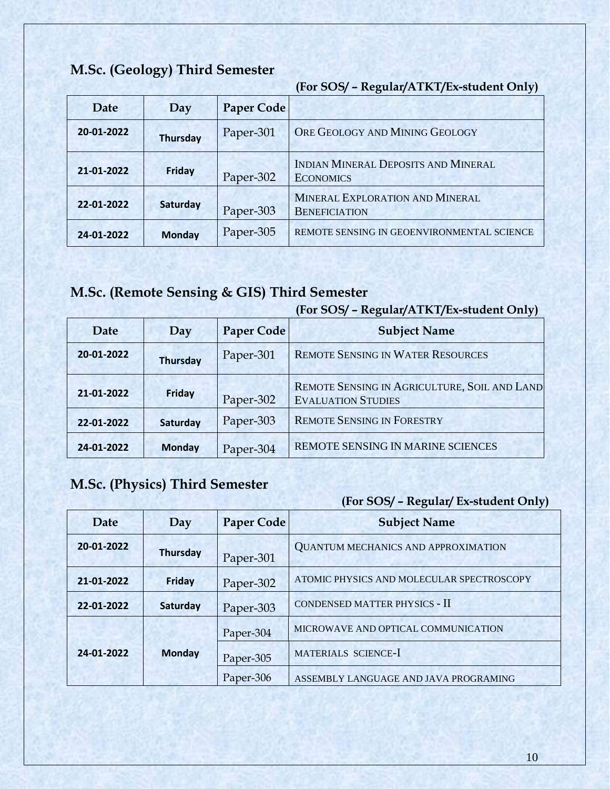# **M.Sc. (Geology) Third Semester**

**(For SOS/ – Regular/ATKT/Ex-student Only)** 

| Date       | Day             | Paper Code |                                                                |
|------------|-----------------|------------|----------------------------------------------------------------|
| 20-01-2022 | <b>Thursday</b> | Paper-301  | ORE GEOLOGY AND MINING GEOLOGY                                 |
| 21-01-2022 | <b>Friday</b>   | Paper-302  | <b>INDIAN MINERAL DEPOSITS AND MINERAL</b><br><b>ECONOMICS</b> |
| 22-01-2022 | Saturday        | Paper-303  | MINERAL EXPLORATION AND MINERAL<br><b>BENEFICIATION</b>        |
| 24-01-2022 | <b>Monday</b>   | Paper-305  | REMOTE SENSING IN GEOENVIRONMENTAL SCIENCE                     |

# **M.Sc. (Remote Sensing & GIS) Third Semester**

#### **(For SOS/ – Regular/ATKT/Ex-student Only)**

| Date       | Day             | <b>Paper Code</b> | <b>Subject Name</b>                                                       |
|------------|-----------------|-------------------|---------------------------------------------------------------------------|
| 20-01-2022 | <b>Thursday</b> | Paper-301         | <b>REMOTE SENSING IN WATER RESOURCES</b>                                  |
| 21-01-2022 | Friday          | Paper-302         | REMOTE SENSING IN AGRICULTURE, SOIL AND LAND<br><b>EVALUATION STUDIES</b> |
| 22-01-2022 | Saturday        | Paper-303         | <b>REMOTE SENSING IN FORESTRY</b>                                         |
| 24-01-2022 | <b>Monday</b>   | Paper-304         | REMOTE SENSING IN MARINE SCIENCES                                         |

# **M.Sc. (Physics) Third Semester**

| Date       | Day             | <b>Paper Code</b> | <b>Subject Name</b>                        |
|------------|-----------------|-------------------|--------------------------------------------|
| 20-01-2022 | <b>Thursday</b> | Paper-301         | <b>QUANTUM MECHANICS AND APPROXIMATION</b> |
| 21-01-2022 | Friday          | Paper-302         | ATOMIC PHYSICS AND MOLECULAR SPECTROSCOPY  |
| 22-01-2022 | Saturday        | Paper-303         | CONDENSED MATTER PHYSICS - II              |
|            |                 | Paper-304         | MICROWAVE AND OPTICAL COMMUNICATION        |
| 24-01-2022 | <b>Monday</b>   | Paper-305         | MATERIALS SCIENCE-I                        |
|            |                 | Paper-306         | ASSEMBLY LANGUAGE AND JAVA PROGRAMING      |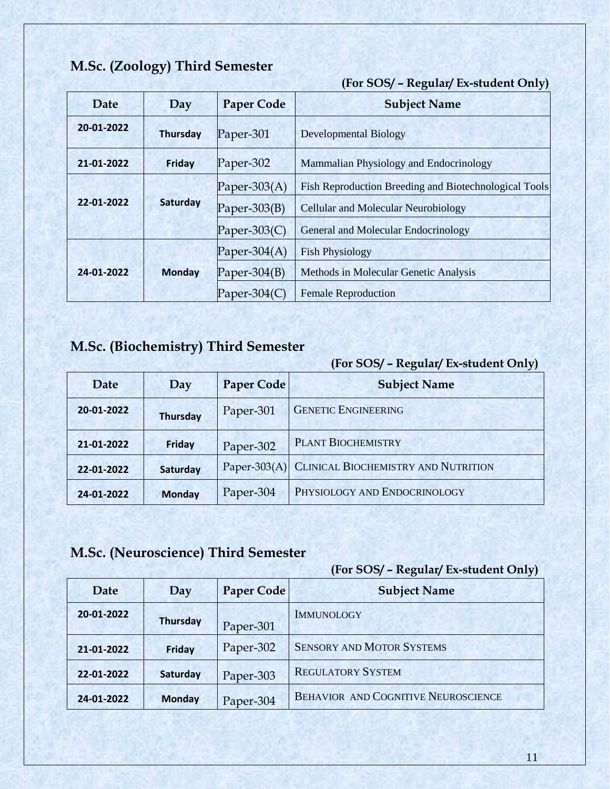#### **M.Sc. (Zoology) Third Semester**

#### **(For SOS/ – Regular/ Ex-student Only)**

| <b>Date</b> | Day           | <b>Paper Code</b> | <b>Subject Name</b>                                   |
|-------------|---------------|-------------------|-------------------------------------------------------|
| 20-01-2022  | Thursday      | Paper-301         | <b>Developmental Biology</b>                          |
| 21-01-2022  | <b>Friday</b> | Paper-302         | Mammalian Physiology and Endocrinology                |
| 22-01-2022  | Saturday      | Paper-303 $(A)$   | Fish Reproduction Breeding and Biotechnological Tools |
|             |               | Paper-303 $(B)$   | Cellular and Molecular Neurobiology                   |
|             |               | Paper-303 $(C)$   | General and Molecular Endocrinology                   |
| 24-01-2022  | <b>Monday</b> | Paper-304 $(A)$   | <b>Fish Physiology</b>                                |
|             |               | Paper-304 $(B)$   | Methods in Molecular Genetic Analysis                 |
|             |               | Paper-304 $(C)$   | <b>Female Reproduction</b>                            |

# **M.Sc. (Biochemistry) Third Semester**

#### **(For SOS/ – Regular/ Ex-student Only)**

| Date       | Day             | <b>Paper Code</b> | <b>Subject Name</b>                              |
|------------|-----------------|-------------------|--------------------------------------------------|
| 20-01-2022 | <b>Thursday</b> | Paper-301         | <b>GENETIC ENGINEERING</b>                       |
| 21-01-2022 | Friday          | Paper-302         | <b>PLANT BIOCHEMISTRY</b>                        |
| 22-01-2022 | Saturday        |                   | Paper-303(A) CLINICAL BIOCHEMISTRY AND NUTRITION |
| 24-01-2022 | <b>Monday</b>   | Paper-304         | PHYSIOLOGY AND ENDOCRINOLOGY                     |

# **M.Sc. (Neuroscience) Third Semester**

| Date       | Day             | Paper Code | <b>Subject Name</b>                        |
|------------|-----------------|------------|--------------------------------------------|
| 20-01-2022 | <b>Thursday</b> | Paper-301  | <b>IMMUNOLOGY</b>                          |
| 21-01-2022 | Friday          | Paper-302  | <b>SENSORY AND MOTOR SYSTEMS</b>           |
| 22-01-2022 | Saturday        | Paper-303  | <b>REGULATORY SYSTEM</b>                   |
| 24-01-2022 | <b>Monday</b>   | Paper-304  | <b>BEHAVIOR AND COGNITIVE NEUROSCIENCE</b> |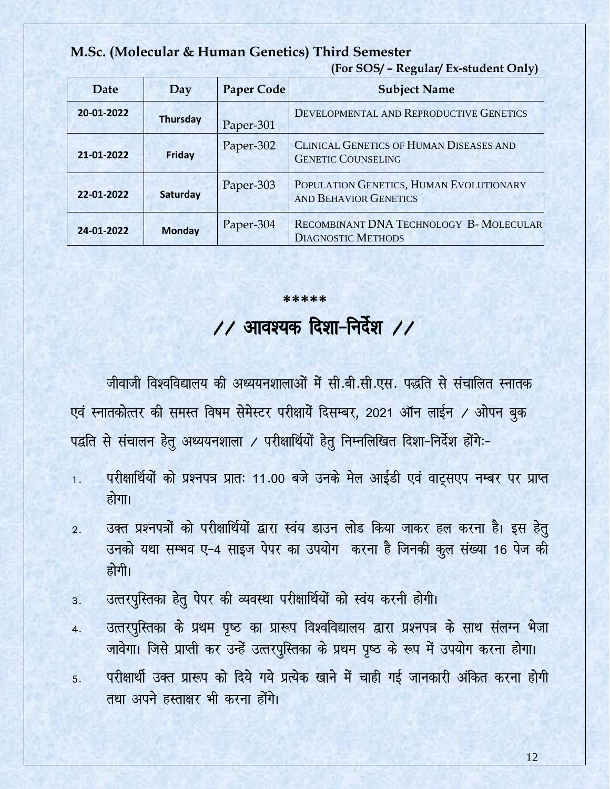**M.Sc. (Molecular & Human Genetics) Third Semester** 

| Date       | Day             | <b>Paper Code</b> | J 1<br><b>Subject Name</b>                                              |
|------------|-----------------|-------------------|-------------------------------------------------------------------------|
| 20-01-2022 | <b>Thursday</b> | Paper-301         | DEVELOPMENTAL AND REPRODUCTIVE GENETICS                                 |
| 21-01-2022 | <b>Friday</b>   | Paper-302         | CLINICAL GENETICS OF HUMAN DISEASES AND<br><b>GENETIC COUNSELING</b>    |
| 22-01-2022 | Saturday        | Paper-303         | POPULATION GENETICS, HUMAN EVOLUTIONARY<br><b>AND BEHAVIOR GENETICS</b> |
| 24-01-2022 | <b>Monday</b>   | Paper-304         | RECOMBINANT DNA TECHNOLOGY B- MOLECULAR<br><b>DIAGNOSTIC METHODS</b>    |

**(For SOS/ – Regular/ Ex-student Only)** 

# **\*\*\*\*\***   $\angle$ / आवश्यक दिशा-निर्देश  $\angle$ /

जीवाजी विश्वविद्यालय की अध्ययनशालाओं में सी.बी.सी.एस. पद्धति से संचालित स्नातक एवं स्नातकोत्तर की समस्त विषम सेमेस्टर परीक्षायें दिसम्बर, 2021 ऑन लाईन / ओपन बुक पद्वति से संचालन हेतु अध्ययनशाला / परीक्षार्थियों हेतु निम्नलिखित दिशा-निर्देश होंगे:-

- 1. परीक्षार्थियों को प्रश्नपत्र प्रातः 11.00 बजे उनके मेल आईडी एवं वाट्सएप नम्बर पर प्राप्त होगा।
- 2. उक्त प्रश्नपत्रों को परीक्षार्थियों द्वारा स्वंय डाउन लोड किया जाकर हल करना है। इस हेतु उनको यथा सम्भव ए-4 साइज पेपर का उपयोग करना है जिनकी कूल संख्या 16 पेज की होगी।
- 3. उत्तरपुस्तिका हेतु पेपर की व्यवस्था परीक्षार्थियों को स्वंय करनी होगी।
- 4. उत्तरपुस्तिका के प्रथम पृष्ठ का प्रारूप विश्वविद्यालय द्वारा प्रश्नपत्र के साथ संलग्न भेजा जावेगा। जिसे प्राप्ती कर उन्हें उत्तरपुस्तिका के प्रथम पृष्ठ के रूप में उपयोग करना होगा।
- 5. परीक्षार्थी उक्त प्रारूप को दिये गये प्रत्येक खाने में चाही गई जानकारी अंकित करना होगी तथा अपने हस्ताक्षर भी करना होंगे।